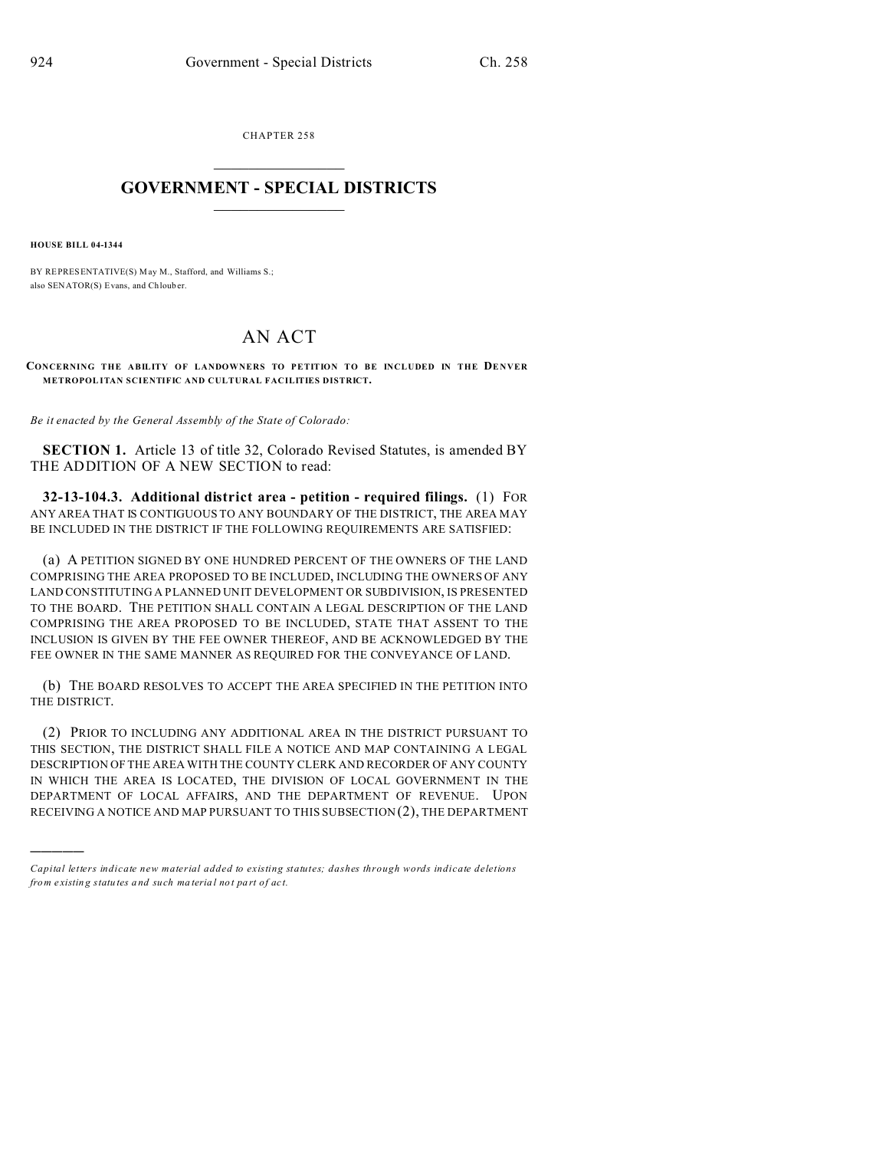CHAPTER 258  $\overline{\phantom{a}}$  , where  $\overline{\phantom{a}}$ 

## **GOVERNMENT - SPECIAL DISTRICTS**  $\_$   $\_$   $\_$   $\_$   $\_$   $\_$   $\_$   $\_$   $\_$

**HOUSE BILL 04-1344**

)))))

BY REPRESENTATIVE(S) May M., Stafford, and Williams S.; also SENATOR(S) Evans, and Chlouber.

## AN ACT

CONCERNING THE ABILITY OF LANDOWNERS TO PETITION TO BE INCLUDED IN THE DENVER **METROPOLITAN SCIENTIFIC AND CULTURAL FACILITIES DISTRICT.**

*Be it enacted by the General Assembly of the State of Colorado:*

**SECTION 1.** Article 13 of title 32, Colorado Revised Statutes, is amended BY THE ADDITION OF A NEW SECTION to read:

**32-13-104.3. Additional district area - petition - required filings.** (1) FOR ANY AREA THAT IS CONTIGUOUS TO ANY BOUNDARY OF THE DISTRICT, THE AREA MAY BE INCLUDED IN THE DISTRICT IF THE FOLLOWING REQUIREMENTS ARE SATISFIED:

(a) A PETITION SIGNED BY ONE HUNDRED PERCENT OF THE OWNERS OF THE LAND COMPRISING THE AREA PROPOSED TO BE INCLUDED, INCLUDING THE OWNERS OF ANY LAND CONSTITUTING A PLANNED UNIT DEVELOPMENT OR SUBDIVISION, IS PRESENTED TO THE BOARD. THE PETITION SHALL CONTAIN A LEGAL DESCRIPTION OF THE LAND COMPRISING THE AREA PROPOSED TO BE INCLUDED, STATE THAT ASSENT TO THE INCLUSION IS GIVEN BY THE FEE OWNER THEREOF, AND BE ACKNOWLEDGED BY THE FEE OWNER IN THE SAME MANNER AS REQUIRED FOR THE CONVEYANCE OF LAND.

(b) THE BOARD RESOLVES TO ACCEPT THE AREA SPECIFIED IN THE PETITION INTO THE DISTRICT.

(2) PRIOR TO INCLUDING ANY ADDITIONAL AREA IN THE DISTRICT PURSUANT TO THIS SECTION, THE DISTRICT SHALL FILE A NOTICE AND MAP CONTAINING A LEGAL DESCRIPTION OF THE AREA WITH THE COUNTY CLERK AND RECORDER OF ANY COUNTY IN WHICH THE AREA IS LOCATED, THE DIVISION OF LOCAL GOVERNMENT IN THE DEPARTMENT OF LOCAL AFFAIRS, AND THE DEPARTMENT OF REVENUE. UPON RECEIVING A NOTICE AND MAP PURSUANT TO THIS SUBSECTION (2), THE DEPARTMENT

*Capital letters indicate new material added to existing statutes; dashes through words indicate deletions from e xistin g statu tes a nd such ma teria l no t pa rt of ac t.*